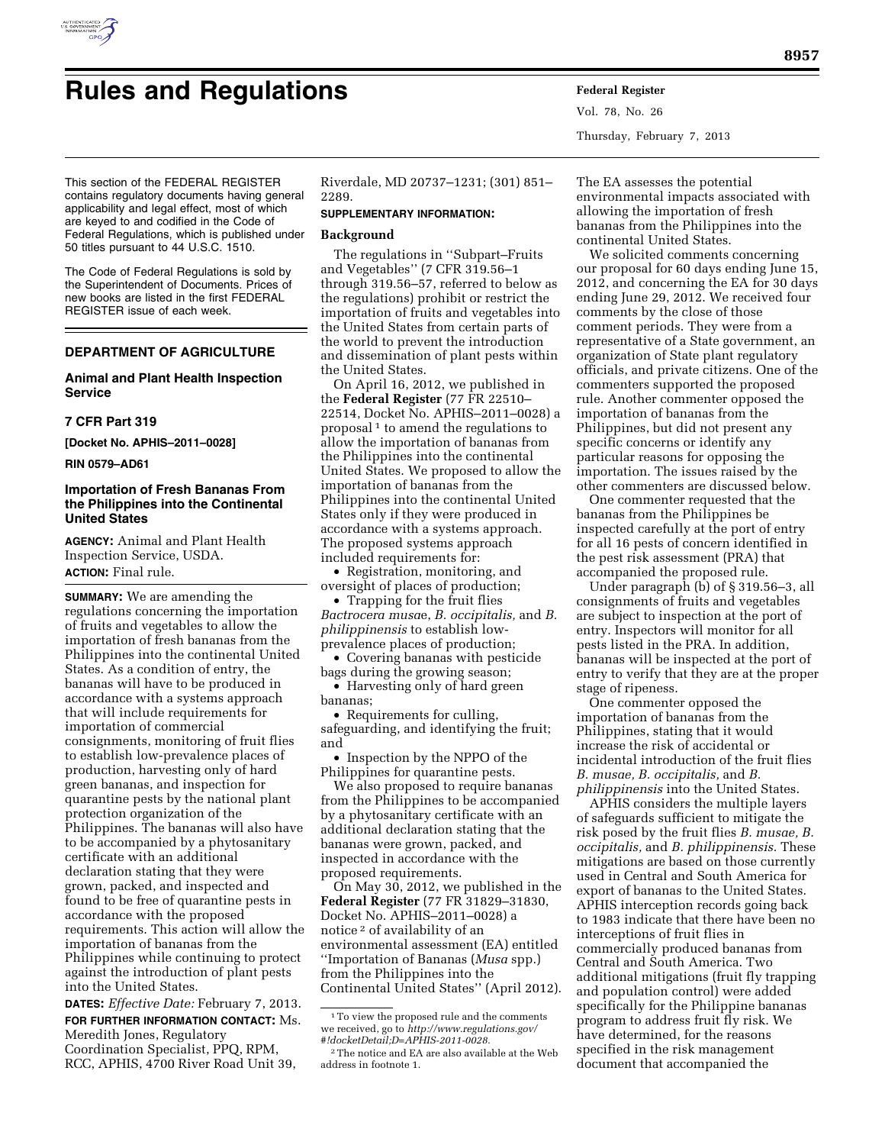

# **Rules and Regulations Federal Register**

Vol. 78, No. 26 Thursday, February 7, 2013

This section of the FEDERAL REGISTER contains regulatory documents having general applicability and legal effect, most of which are keyed to and codified in the Code of Federal Regulations, which is published under 50 titles pursuant to 44 U.S.C. 1510.

The Code of Federal Regulations is sold by the Superintendent of Documents. Prices of new books are listed in the first FEDERAL REGISTER issue of each week.

# **DEPARTMENT OF AGRICULTURE**

# **Animal and Plant Health Inspection Service**

## **7 CFR Part 319**

**[Docket No. APHIS–2011–0028]** 

**RIN 0579–AD61** 

# **Importation of Fresh Bananas From the Philippines into the Continental United States**

**AGENCY:** Animal and Plant Health Inspection Service, USDA. **ACTION:** Final rule.

**SUMMARY:** We are amending the regulations concerning the importation of fruits and vegetables to allow the importation of fresh bananas from the Philippines into the continental United States. As a condition of entry, the bananas will have to be produced in accordance with a systems approach that will include requirements for importation of commercial consignments, monitoring of fruit flies to establish low-prevalence places of production, harvesting only of hard green bananas, and inspection for quarantine pests by the national plant protection organization of the Philippines. The bananas will also have to be accompanied by a phytosanitary certificate with an additional declaration stating that they were grown, packed, and inspected and found to be free of quarantine pests in accordance with the proposed requirements. This action will allow the importation of bananas from the Philippines while continuing to protect against the introduction of plant pests into the United States.

**DATES:** *Effective Date:* February 7, 2013. **FOR FURTHER INFORMATION CONTACT:** Ms. Meredith Jones, Regulatory Coordination Specialist, PPQ, RPM, RCC, APHIS, 4700 River Road Unit 39,

Riverdale, MD 20737–1231; (301) 851– 2289.

## **SUPPLEMENTARY INFORMATION:**

## **Background**

The regulations in ''Subpart–Fruits and Vegetables'' (7 CFR 319.56–1 through 319.56–57, referred to below as the regulations) prohibit or restrict the importation of fruits and vegetables into the United States from certain parts of the world to prevent the introduction and dissemination of plant pests within the United States.

On April 16, 2012, we published in the **Federal Register** (77 FR 22510– 22514, Docket No. APHIS–2011–0028) a proposal<sup>1</sup> to amend the regulations to allow the importation of bananas from the Philippines into the continental United States. We proposed to allow the importation of bananas from the Philippines into the continental United States only if they were produced in accordance with a systems approach. The proposed systems approach included requirements for:

• Registration, monitoring, and oversight of places of production;

• Trapping for the fruit flies *Bactrocera musa*e, *B. occipitalis,* and *B. philippinensis* to establish lowprevalence places of production;

• Covering bananas with pesticide bags during the growing season;

• Harvesting only of hard green bananas;

• Requirements for culling, safeguarding, and identifying the fruit; and

• Inspection by the NPPO of the Philippines for quarantine pests.

We also proposed to require bananas from the Philippines to be accompanied by a phytosanitary certificate with an additional declaration stating that the bananas were grown, packed, and inspected in accordance with the proposed requirements.

On May 30, 2012, we published in the **Federal Register** (77 FR 31829–31830, Docket No. APHIS–2011–0028) a notice 2 of availability of an environmental assessment (EA) entitled ''Importation of Bananas (*Musa* spp.) from the Philippines into the Continental United States'' (April 2012). The EA assesses the potential environmental impacts associated with allowing the importation of fresh bananas from the Philippines into the continental United States.

We solicited comments concerning our proposal for 60 days ending June 15, 2012, and concerning the EA for 30 days ending June 29, 2012. We received four comments by the close of those comment periods. They were from a representative of a State government, an organization of State plant regulatory officials, and private citizens. One of the commenters supported the proposed rule. Another commenter opposed the importation of bananas from the Philippines, but did not present any specific concerns or identify any particular reasons for opposing the importation. The issues raised by the other commenters are discussed below.

One commenter requested that the bananas from the Philippines be inspected carefully at the port of entry for all 16 pests of concern identified in the pest risk assessment (PRA) that accompanied the proposed rule.

Under paragraph (b) of § 319.56–3, all consignments of fruits and vegetables are subject to inspection at the port of entry. Inspectors will monitor for all pests listed in the PRA. In addition, bananas will be inspected at the port of entry to verify that they are at the proper stage of ripeness.

One commenter opposed the importation of bananas from the Philippines, stating that it would increase the risk of accidental or incidental introduction of the fruit flies *B. musae, B. occipitalis,* and *B. philippinensis* into the United States.

APHIS considers the multiple layers of safeguards sufficient to mitigate the risk posed by the fruit flies *B. musae, B. occipitalis,* and *B. philippinensis.* These mitigations are based on those currently used in Central and South America for export of bananas to the United States. APHIS interception records going back to 1983 indicate that there have been no interceptions of fruit flies in commercially produced bananas from Central and South America. Two additional mitigations (fruit fly trapping and population control) were added specifically for the Philippine bananas program to address fruit fly risk. We have determined, for the reasons specified in the risk management document that accompanied the

 $^{\rm 1}\!$  To view the proposed rule and the comments we received, go to *[http://www.regulations.gov/](http://www.regulations.gov/#!docketDetail;D=APHIS-2011-0028)  [#!docketDetail;D=APHIS-2011-0028.](http://www.regulations.gov/#!docketDetail;D=APHIS-2011-0028)* 

<sup>2</sup>The notice and EA are also available at the Web address in footnote 1.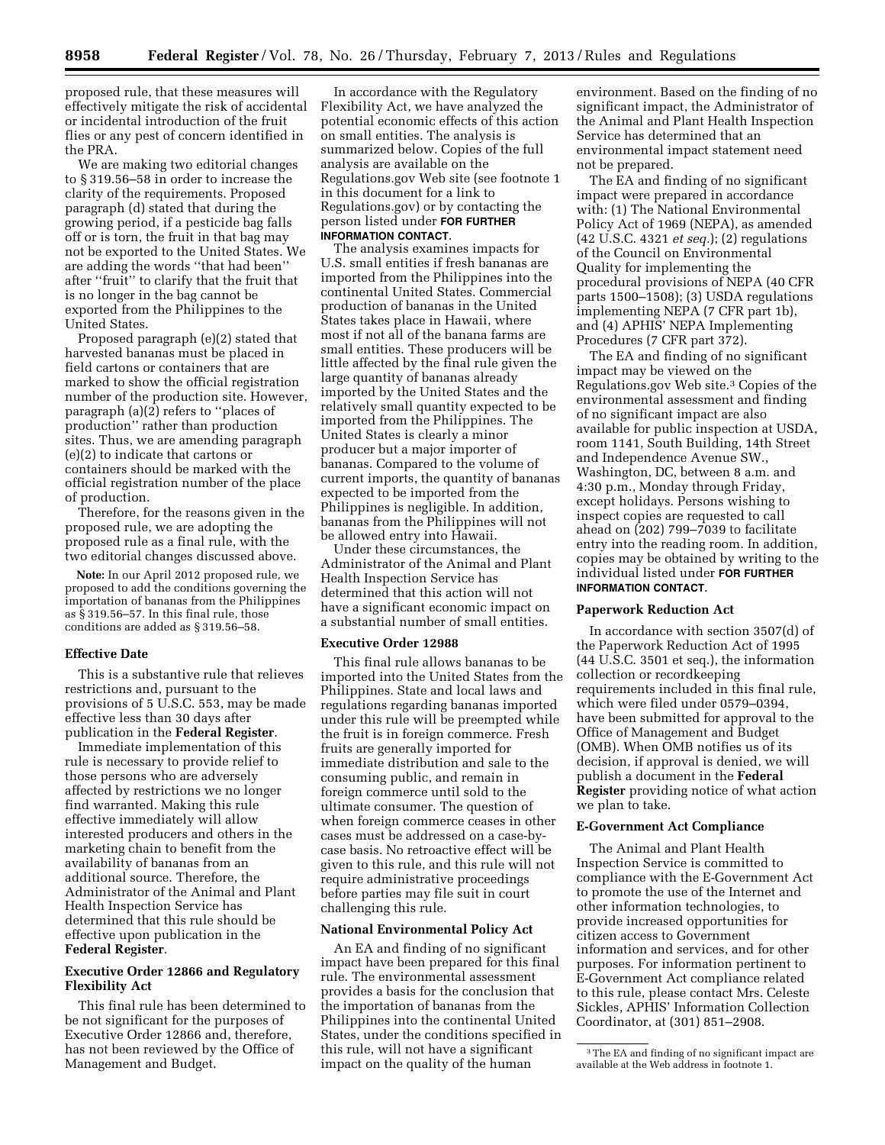proposed rule, that these measures will effectively mitigate the risk of accidental or incidental introduction of the fruit flies or any pest of concern identified in the PRA.

We are making two editorial changes to § 319.56–58 in order to increase the clarity of the requirements. Proposed paragraph (d) stated that during the growing period, if a pesticide bag falls off or is torn, the fruit in that bag may not be exported to the United States. We are adding the words ''that had been'' after ''fruit'' to clarify that the fruit that is no longer in the bag cannot be exported from the Philippines to the United States.

Proposed paragraph (e)(2) stated that harvested bananas must be placed in field cartons or containers that are marked to show the official registration number of the production site. However, paragraph (a)(2) refers to ''places of production'' rather than production sites. Thus, we are amending paragraph (e)(2) to indicate that cartons or containers should be marked with the official registration number of the place of production.

Therefore, for the reasons given in the proposed rule, we are adopting the proposed rule as a final rule, with the two editorial changes discussed above.

**Note:** In our April 2012 proposed rule, we proposed to add the conditions governing the importation of bananas from the Philippines as § 319.56–57. In this final rule, those conditions are added as § 319.56–58.

#### **Effective Date**

This is a substantive rule that relieves restrictions and, pursuant to the provisions of 5 U.S.C. 553, may be made effective less than 30 days after publication in the **Federal Register**.

Immediate implementation of this rule is necessary to provide relief to those persons who are adversely affected by restrictions we no longer find warranted. Making this rule effective immediately will allow interested producers and others in the marketing chain to benefit from the availability of bananas from an additional source. Therefore, the Administrator of the Animal and Plant Health Inspection Service has determined that this rule should be effective upon publication in the **Federal Register**.

## **Executive Order 12866 and Regulatory Flexibility Act**

This final rule has been determined to be not significant for the purposes of Executive Order 12866 and, therefore, has not been reviewed by the Office of Management and Budget.

In accordance with the Regulatory Flexibility Act, we have analyzed the potential economic effects of this action on small entities. The analysis is summarized below. Copies of the full analysis are available on the Regulations.gov Web site (see footnote 1 in this document for a link to Regulations.gov) or by contacting the person listed under **FOR FURTHER INFORMATION CONTACT**.

The analysis examines impacts for U.S. small entities if fresh bananas are imported from the Philippines into the continental United States. Commercial production of bananas in the United States takes place in Hawaii, where most if not all of the banana farms are small entities. These producers will be little affected by the final rule given the large quantity of bananas already imported by the United States and the relatively small quantity expected to be imported from the Philippines. The United States is clearly a minor producer but a major importer of bananas. Compared to the volume of current imports, the quantity of bananas expected to be imported from the Philippines is negligible. In addition, bananas from the Philippines will not be allowed entry into Hawaii.

Under these circumstances, the Administrator of the Animal and Plant Health Inspection Service has determined that this action will not have a significant economic impact on a substantial number of small entities.

#### **Executive Order 12988**

This final rule allows bananas to be imported into the United States from the Philippines. State and local laws and regulations regarding bananas imported under this rule will be preempted while the fruit is in foreign commerce. Fresh fruits are generally imported for immediate distribution and sale to the consuming public, and remain in foreign commerce until sold to the ultimate consumer. The question of when foreign commerce ceases in other cases must be addressed on a case-bycase basis. No retroactive effect will be given to this rule, and this rule will not require administrative proceedings before parties may file suit in court challenging this rule.

#### **National Environmental Policy Act**

An EA and finding of no significant impact have been prepared for this final rule. The environmental assessment provides a basis for the conclusion that the importation of bananas from the Philippines into the continental United States, under the conditions specified in this rule, will not have a significant impact on the quality of the human

environment. Based on the finding of no significant impact, the Administrator of the Animal and Plant Health Inspection Service has determined that an environmental impact statement need not be prepared.

The EA and finding of no significant impact were prepared in accordance with: (1) The National Environmental Policy Act of 1969 (NEPA), as amended (42 U.S.C. 4321 *et seq.*); (2) regulations of the Council on Environmental Quality for implementing the procedural provisions of NEPA (40 CFR parts 1500–1508); (3) USDA regulations implementing NEPA (7 CFR part 1b), and (4) APHIS' NEPA Implementing Procedures (7 CFR part 372).

The EA and finding of no significant impact may be viewed on the Regulations.gov Web site.3 Copies of the environmental assessment and finding of no significant impact are also available for public inspection at USDA, room 1141, South Building, 14th Street and Independence Avenue SW., Washington, DC, between 8 a.m. and 4:30 p.m., Monday through Friday, except holidays. Persons wishing to inspect copies are requested to call ahead on (202) 799–7039 to facilitate entry into the reading room. In addition, copies may be obtained by writing to the individual listed under **FOR FURTHER INFORMATION CONTACT**.

#### **Paperwork Reduction Act**

In accordance with section 3507(d) of the Paperwork Reduction Act of 1995 (44 U.S.C. 3501 et seq.), the information collection or recordkeeping requirements included in this final rule, which were filed under 0579–0394, have been submitted for approval to the Office of Management and Budget (OMB). When OMB notifies us of its decision, if approval is denied, we will publish a document in the **Federal Register** providing notice of what action we plan to take.

#### **E-Government Act Compliance**

The Animal and Plant Health Inspection Service is committed to compliance with the E-Government Act to promote the use of the Internet and other information technologies, to provide increased opportunities for citizen access to Government information and services, and for other purposes. For information pertinent to E-Government Act compliance related to this rule, please contact Mrs. Celeste Sickles, APHIS' Information Collection Coordinator, at (301) 851–2908.

<sup>3</sup>The EA and finding of no significant impact are available at the Web address in footnote 1.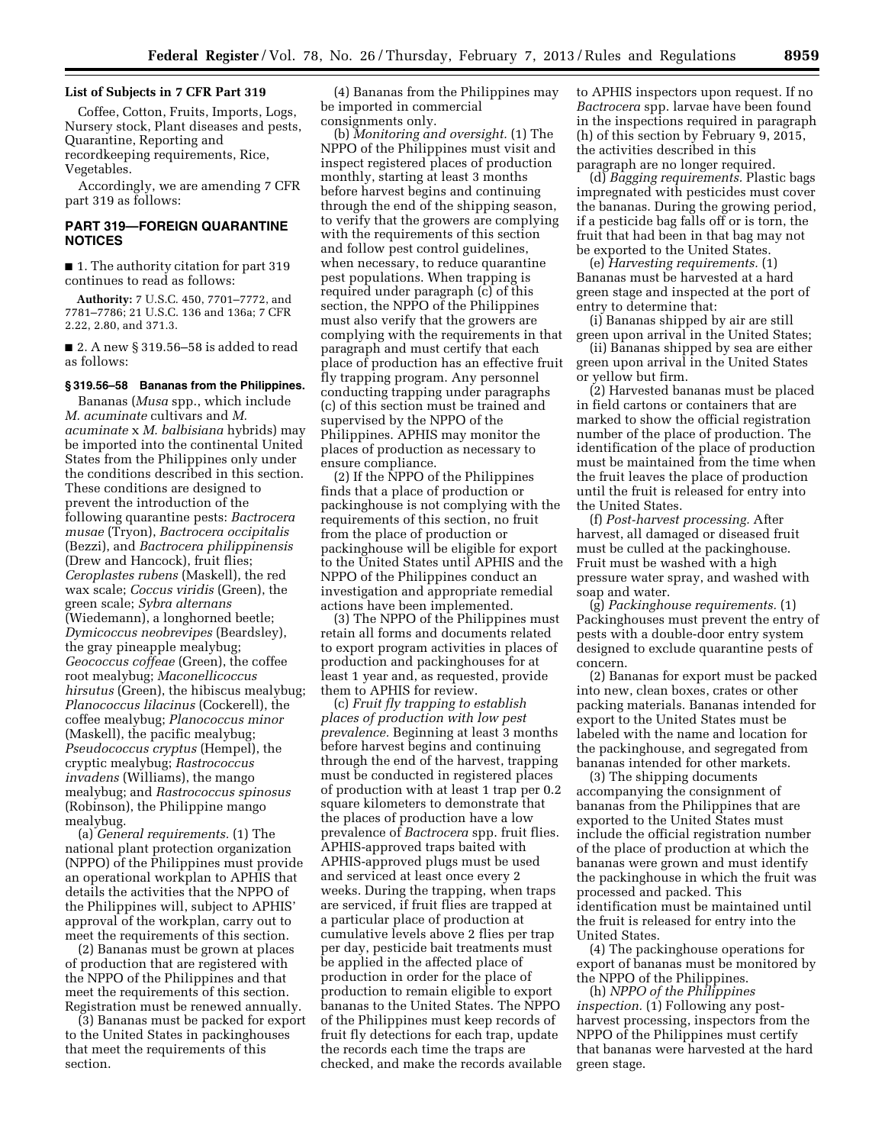## **List of Subjects in 7 CFR Part 319**

Coffee, Cotton, Fruits, Imports, Logs, Nursery stock, Plant diseases and pests, Quarantine, Reporting and recordkeeping requirements, Rice, Vegetables.

Accordingly, we are amending 7 CFR part 319 as follows:

## **PART 319—FOREIGN QUARANTINE NOTICES**

■ 1. The authority citation for part 319 continues to read as follows:

**Authority:** 7 U.S.C. 450, 7701–7772, and 7781–7786; 21 U.S.C. 136 and 136a; 7 CFR 2.22, 2.80, and 371.3.

■ 2. A new § 319.56-58 is added to read as follows:

## **§ 319.56–58 Bananas from the Philippines.**

Bananas (*Musa* spp., which include *M. acuminate* cultivars and *M. acuminate* x *M. balbisiana* hybrids) may be imported into the continental United States from the Philippines only under the conditions described in this section. These conditions are designed to prevent the introduction of the following quarantine pests: *Bactrocera musae* (Tryon), *Bactrocera occipitalis*  (Bezzi), and *Bactrocera philippinensis*  (Drew and Hancock), fruit flies; *Ceroplastes rubens* (Maskell), the red wax scale; *Coccus viridis* (Green), the green scale; *Sybra alternans*  (Wiedemann), a longhorned beetle; *Dymicoccus neobrevipes* (Beardsley), the gray pineapple mealybug; *Geococcus coffeae* (Green), the coffee root mealybug; *Maconellicoccus hirsutus* (Green), the hibiscus mealybug; *Planococcus lilacinus* (Cockerell), the coffee mealybug; *Planococcus minor*  (Maskell), the pacific mealybug; *Pseudococcus cryptus* (Hempel), the cryptic mealybug; *Rastrococcus invadens* (Williams), the mango mealybug; and *Rastrococcus spinosus*  (Robinson), the Philippine mango mealybug.

(a) *General requirements.* (1) The national plant protection organization (NPPO) of the Philippines must provide an operational workplan to APHIS that details the activities that the NPPO of the Philippines will, subject to APHIS' approval of the workplan, carry out to meet the requirements of this section.

(2) Bananas must be grown at places of production that are registered with the NPPO of the Philippines and that meet the requirements of this section. Registration must be renewed annually.

(3) Bananas must be packed for export to the United States in packinghouses that meet the requirements of this section.

(4) Bananas from the Philippines may be imported in commercial consignments only.

(b) *Monitoring and oversight.* (1) The NPPO of the Philippines must visit and inspect registered places of production monthly, starting at least 3 months before harvest begins and continuing through the end of the shipping season, to verify that the growers are complying with the requirements of this section and follow pest control guidelines, when necessary, to reduce quarantine pest populations. When trapping is required under paragraph (c) of this section, the NPPO of the Philippines must also verify that the growers are complying with the requirements in that paragraph and must certify that each place of production has an effective fruit fly trapping program. Any personnel conducting trapping under paragraphs (c) of this section must be trained and supervised by the NPPO of the Philippines. APHIS may monitor the places of production as necessary to ensure compliance.

(2) If the NPPO of the Philippines finds that a place of production or packinghouse is not complying with the requirements of this section, no fruit from the place of production or packinghouse will be eligible for export to the United States until APHIS and the NPPO of the Philippines conduct an investigation and appropriate remedial actions have been implemented.

(3) The NPPO of the Philippines must retain all forms and documents related to export program activities in places of production and packinghouses for at least 1 year and, as requested, provide them to APHIS for review.

(c) *Fruit fly trapping to establish places of production with low pest prevalence.* Beginning at least 3 months before harvest begins and continuing through the end of the harvest, trapping must be conducted in registered places of production with at least 1 trap per 0.2 square kilometers to demonstrate that the places of production have a low prevalence of *Bactrocera* spp. fruit flies. APHIS-approved traps baited with APHIS-approved plugs must be used and serviced at least once every 2 weeks. During the trapping, when traps are serviced, if fruit flies are trapped at a particular place of production at cumulative levels above 2 flies per trap per day, pesticide bait treatments must be applied in the affected place of production in order for the place of production to remain eligible to export bananas to the United States. The NPPO of the Philippines must keep records of fruit fly detections for each trap, update the records each time the traps are checked, and make the records available

to APHIS inspectors upon request. If no *Bactrocera* spp. larvae have been found in the inspections required in paragraph (h) of this section by February 9, 2015, the activities described in this paragraph are no longer required.

(d) *Bagging requirements.* Plastic bags impregnated with pesticides must cover the bananas. During the growing period, if a pesticide bag falls off or is torn, the fruit that had been in that bag may not be exported to the United States.

(e) *Harvesting requirements.* (1) Bananas must be harvested at a hard green stage and inspected at the port of entry to determine that:

(i) Bananas shipped by air are still green upon arrival in the United States;

(ii) Bananas shipped by sea are either green upon arrival in the United States or yellow but firm.

(2) Harvested bananas must be placed in field cartons or containers that are marked to show the official registration number of the place of production. The identification of the place of production must be maintained from the time when the fruit leaves the place of production until the fruit is released for entry into the United States.

(f) *Post-harvest processing.* After harvest, all damaged or diseased fruit must be culled at the packinghouse. Fruit must be washed with a high pressure water spray, and washed with soap and water.

(g) *Packinghouse requirements.* (1) Packinghouses must prevent the entry of pests with a double-door entry system designed to exclude quarantine pests of concern.

(2) Bananas for export must be packed into new, clean boxes, crates or other packing materials. Bananas intended for export to the United States must be labeled with the name and location for the packinghouse, and segregated from bananas intended for other markets.

(3) The shipping documents accompanying the consignment of bananas from the Philippines that are exported to the United States must include the official registration number of the place of production at which the bananas were grown and must identify the packinghouse in which the fruit was processed and packed. This identification must be maintained until the fruit is released for entry into the United States.

(4) The packinghouse operations for export of bananas must be monitored by the NPPO of the Philippines.

(h) *NPPO of the Philippines inspection.* (1) Following any postharvest processing, inspectors from the NPPO of the Philippines must certify that bananas were harvested at the hard green stage.